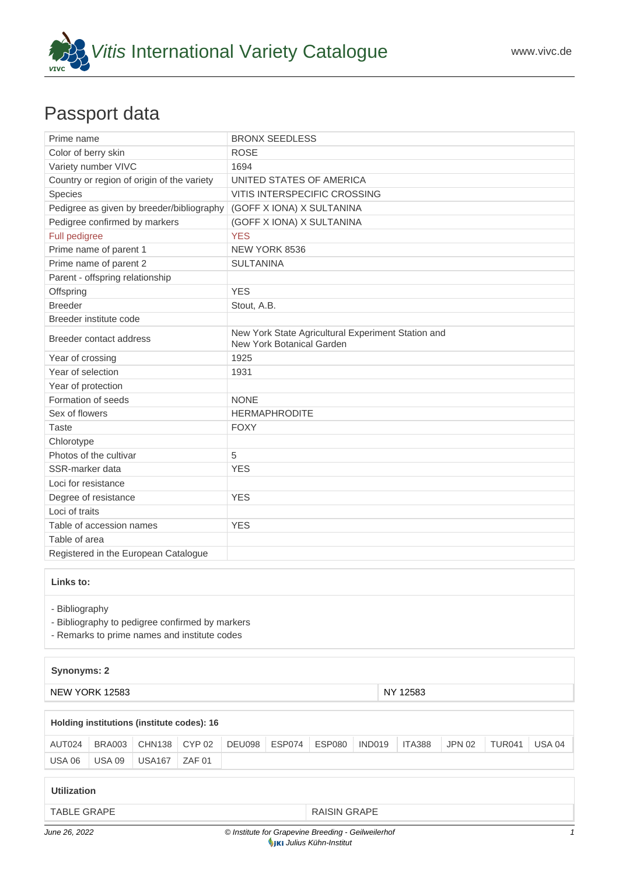

## Passport data

| Prime name                                                                                                        | <b>BRONX SEEDLESS</b>                                                           |  |  |  |  |  |  |
|-------------------------------------------------------------------------------------------------------------------|---------------------------------------------------------------------------------|--|--|--|--|--|--|
| Color of berry skin                                                                                               | <b>ROSE</b>                                                                     |  |  |  |  |  |  |
| Variety number VIVC                                                                                               | 1694                                                                            |  |  |  |  |  |  |
| Country or region of origin of the variety                                                                        | UNITED STATES OF AMERICA                                                        |  |  |  |  |  |  |
| Species                                                                                                           | <b>VITIS INTERSPECIFIC CROSSING</b>                                             |  |  |  |  |  |  |
| Pedigree as given by breeder/bibliography                                                                         | (GOFF X IONA) X SULTANINA                                                       |  |  |  |  |  |  |
| Pedigree confirmed by markers                                                                                     | (GOFF X IONA) X SULTANINA                                                       |  |  |  |  |  |  |
| Full pedigree                                                                                                     | <b>YES</b>                                                                      |  |  |  |  |  |  |
| Prime name of parent 1                                                                                            | NEW YORK 8536                                                                   |  |  |  |  |  |  |
| Prime name of parent 2                                                                                            | <b>SULTANINA</b>                                                                |  |  |  |  |  |  |
| Parent - offspring relationship                                                                                   |                                                                                 |  |  |  |  |  |  |
| Offspring                                                                                                         | <b>YES</b>                                                                      |  |  |  |  |  |  |
| <b>Breeder</b>                                                                                                    | Stout, A.B.                                                                     |  |  |  |  |  |  |
| Breeder institute code                                                                                            |                                                                                 |  |  |  |  |  |  |
| Breeder contact address                                                                                           | New York State Agricultural Experiment Station and<br>New York Botanical Garden |  |  |  |  |  |  |
| Year of crossing                                                                                                  | 1925                                                                            |  |  |  |  |  |  |
| Year of selection                                                                                                 | 1931                                                                            |  |  |  |  |  |  |
| Year of protection                                                                                                |                                                                                 |  |  |  |  |  |  |
| Formation of seeds                                                                                                | <b>NONE</b>                                                                     |  |  |  |  |  |  |
| Sex of flowers                                                                                                    | <b>HERMAPHRODITE</b>                                                            |  |  |  |  |  |  |
| <b>Taste</b>                                                                                                      | <b>FOXY</b>                                                                     |  |  |  |  |  |  |
| Chlorotype                                                                                                        |                                                                                 |  |  |  |  |  |  |
| Photos of the cultivar                                                                                            | 5                                                                               |  |  |  |  |  |  |
| SSR-marker data                                                                                                   | <b>YES</b>                                                                      |  |  |  |  |  |  |
| Loci for resistance                                                                                               |                                                                                 |  |  |  |  |  |  |
| Degree of resistance                                                                                              | <b>YES</b>                                                                      |  |  |  |  |  |  |
| Loci of traits                                                                                                    |                                                                                 |  |  |  |  |  |  |
| Table of accession names                                                                                          | <b>YES</b>                                                                      |  |  |  |  |  |  |
| Table of area                                                                                                     |                                                                                 |  |  |  |  |  |  |
| Registered in the European Catalogue                                                                              |                                                                                 |  |  |  |  |  |  |
| Links to:                                                                                                         |                                                                                 |  |  |  |  |  |  |
| - Bibliography<br>- Bibliography to pedigree confirmed by markers<br>- Remarks to prime names and institute codes |                                                                                 |  |  |  |  |  |  |

## **Synonyms: 2**

NEW YORK 12583 NEW YORK 12583

## **Holding institutions (institute codes): 16**

| AUT024        | BRA003 | CHN138 CYP 02                 | DEU098 ESP074 ESP080 |  | IND019 | $\overline{\phantom{0}}$ ITA388 | <b>JPN 02</b> | TUR041 | <b>USA 04</b> |
|---------------|--------|-------------------------------|----------------------|--|--------|---------------------------------|---------------|--------|---------------|
| <b>USA 06</b> | USA 09 | $\vert$ USA167 $\vert$ ZAF 01 |                      |  |        |                                 |               |        |               |

## **Utilization**

[TABLE GRAPE](https://www.vivc.de/index.php?SpeciesSearch[utilization22]=table%20grape&r=species%2Futilization) **[RAISIN GRAPE](https://www.vivc.de/index.php?SpeciesSearch[utilization22]=raisin%20grape&r=species%2Futilization)**